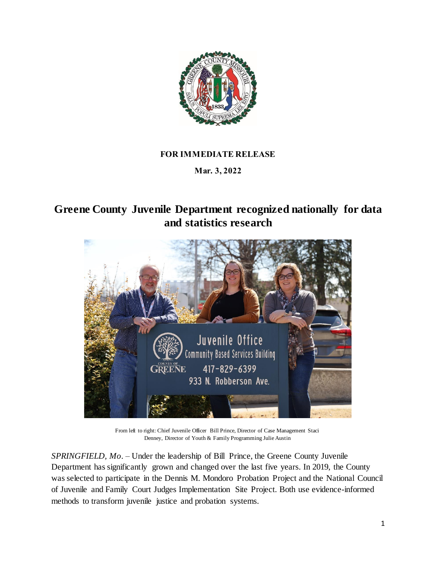

## **FOR IMMEDIATE RELEASE**

**Mar. 3, 2022**

**Greene County Juvenile Department recognized nationally for data and statistics research**



From left to right: Chief Juvenile Officer Bill Prince, Director of Case Management Staci Denney, Director of Youth & Family Programming Julie Austin

*SPRINGFIELD, Mo.* – Under the leadership of Bill Prince, the Greene County Juvenile Department has significantly grown and changed over the last five years. In 2019, the County was selected to participate in the Dennis M. Mondoro Probation Project and the National Council of Juvenile and Family Court Judges Implementation Site Project. Both use evidence-informed methods to transform juvenile justice and probation systems.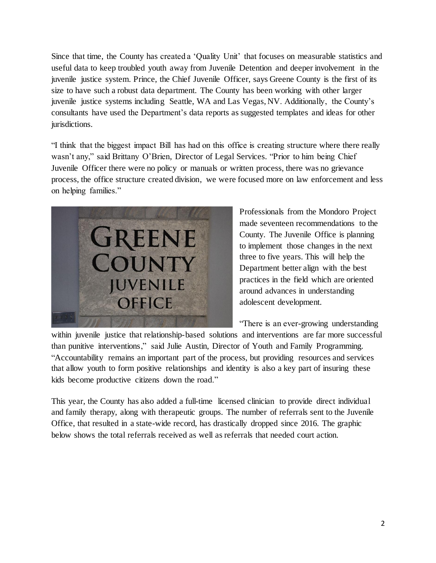Since that time, the County has created a 'Quality Unit' that focuses on measurable statistics and useful data to keep troubled youth away from Juvenile Detention and deeper involvement in the juvenile justice system. Prince, the Chief Juvenile Officer, says Greene County is the first of its size to have such a robust data department. The County has been working with other larger juvenile justice systems including Seattle, WA and Las Vegas, NV. Additionally, the County's consultants have used the Department's data reports as suggested templates and ideas for other jurisdictions.

"I think that the biggest impact Bill has had on this office is creating structure where there really wasn't any," said Brittany O'Brien, Director of Legal Services. "Prior to him being Chief Juvenile Officer there were no policy or manuals or written process, there was no grievance process, the office structure created division, we were focused more on law enforcement and less on helping families."



Professionals from the Mondoro Project made seventeen recommendations to the County. The Juvenile Office is planning to implement those changes in the next three to five years. This will help the Department better align with the best practices in the field which are oriented around advances in understanding adolescent development.

"There is an ever-growing understanding

within juvenile justice that relationship-based solutions and interventions are far more successful than punitive interventions," said Julie Austin, Director of Youth and Family Programming. "Accountability remains an important part of the process, but providing resources and services that allow youth to form positive relationships and identity is also a key part of insuring these kids become productive citizens down the road."

This year, the County has also added a full-time licensed clinician to provide direct individual and family therapy, along with therapeutic groups. The number of referrals sent to the Juvenile Office, that resulted in a state-wide record, has drastically dropped since 2016. The graphic below shows the total referrals received as well as referrals that needed court action.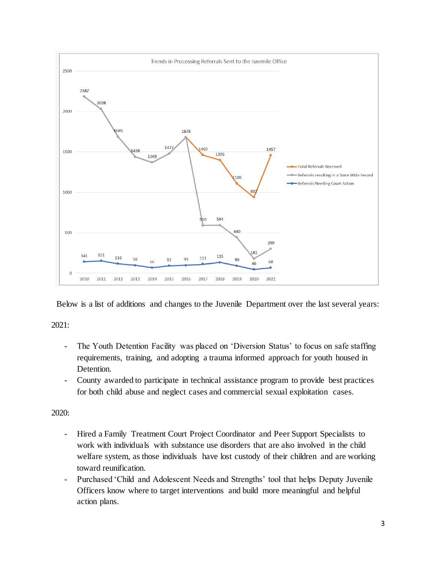

Below is a list of additions and changes to the Juvenile Department over the last several years:

2021:

- The Youth Detention Facility was placed on 'Diversion Status' to focus on safe staffing requirements, training, and adopting a trauma informed approach for youth housed in Detention.
- County awarded to participate in technical assistance program to provide best practices for both child abuse and neglect cases and commercial sexual exploitation cases.

2020:

- Hired a Family Treatment Court Project Coordinator and Peer Support Specialists to work with individuals with substance use disorders that are also involved in the child welfare system, as those individuals have lost custody of their children and are working toward reunification.
- Purchased 'Child and Adolescent Needs and Strengths' tool that helps Deputy Juvenile Officers know where to target interventions and build more meaningful and helpful action plans.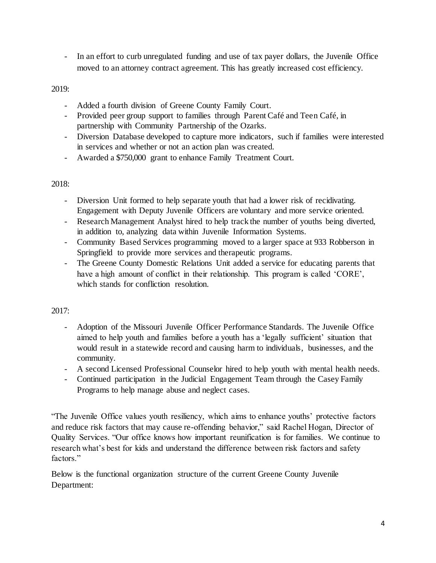- In an effort to curb unregulated funding and use of tax payer dollars, the Juvenile Office moved to an attorney contract agreement. This has greatly increased cost efficiency.

## 2019:

- Added a fourth division of Greene County Family Court.
- Provided peer group support to families through Parent Café and Teen Café, in partnership with Community Partnership of the Ozarks.
- Diversion Database developed to capture more indicators, such if families were interested in services and whether or not an action plan was created.
- Awarded a \$750,000 grant to enhance Family Treatment Court.

## 2018:

- Diversion Unit formed to help separate youth that had a lower risk of recidivating. Engagement with Deputy Juvenile Officers are voluntary and more service oriented.
- Research Management Analyst hired to help track the number of youths being diverted, in addition to, analyzing data within Juvenile Information Systems.
- Community Based Services programming moved to a larger space at 933 Robberson in Springfield to provide more services and therapeutic programs.
- The Greene County Domestic Relations Unit added a service for educating parents that have a high amount of conflict in their relationship. This program is called 'CORE', which stands for confliction resolution.

## $2017:$

- Adoption of the Missouri Juvenile Officer Performance Standards. The Juvenile Office aimed to help youth and families before a youth has a 'legally sufficient' situation that would result in a statewide record and causing harm to individuals, businesses, and the community.
- A second Licensed Professional Counselor hired to help youth with mental health needs.
- Continued participation in the Judicial Engagement Team through the Casey Family Programs to help manage abuse and neglect cases.

"The Juvenile Office values youth resiliency, which aims to enhance youths' protective factors and reduce risk factors that may cause re-offending behavior," said Rachel Hogan, Director of Quality Services. "Our office knows how important reunification is for families. We continue to research what's best for kids and understand the difference between risk factors and safety factors."

Below is the functional organization structure of the current Greene County Juvenile Department: